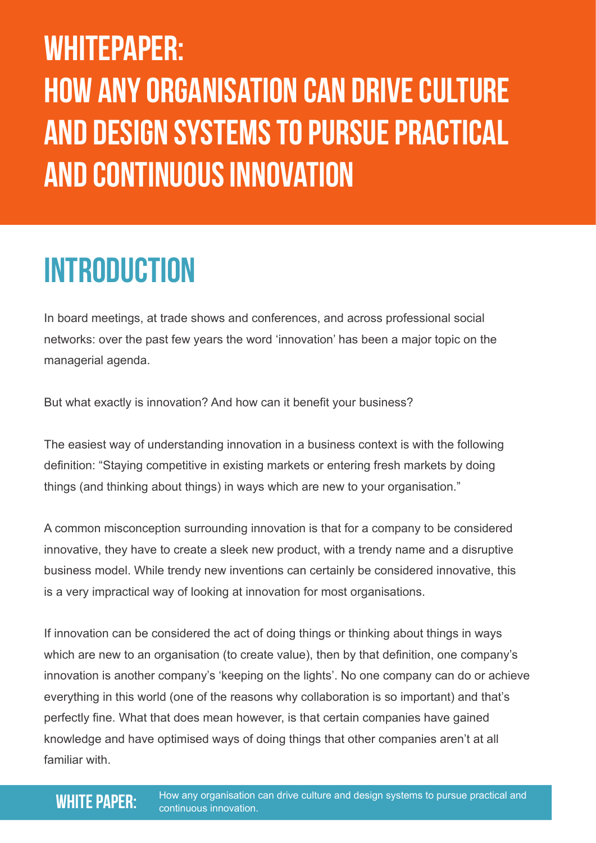# WHITEPAPER: HOW ANY ORGANIsATION CAN DRIVE CULTURE AND DESIGN SYSTEMS TO PuRSUE PRACTICAL AND CONTINUOUS INNOVATION

## **INTRODUCTION**

In board meetings, at trade shows and conferences, and across professional social networks: over the past few years the word 'innovation' has been a major topic on the managerial agenda.

But what exactly is innovation? And how can it benefit your business?

The easiest way of understanding innovation in a business context is with the following definition: "Staying competitive in existing markets or entering fresh markets by doing things (and thinking about things) in ways which are new to your organisation."

A common misconception surrounding innovation is that for a company to be considered innovative, they have to create a sleek new product, with a trendy name and a disruptive business model. While trendy new inventions can certainly be considered innovative, this is a very impractical way of looking at innovation for most organisations.

If innovation can be considered the act of doing things or thinking about things in ways which are new to an organisation (to create value), then by that definition, one company's innovation is another company's 'keeping on the lights'. No one company can do or achieve everything in this world (one of the reasons why collaboration is so important) and that's perfectly fine. What that does mean however, is that certain companies have gained knowledge and have optimised ways of doing things that other companies aren't at all familiar with.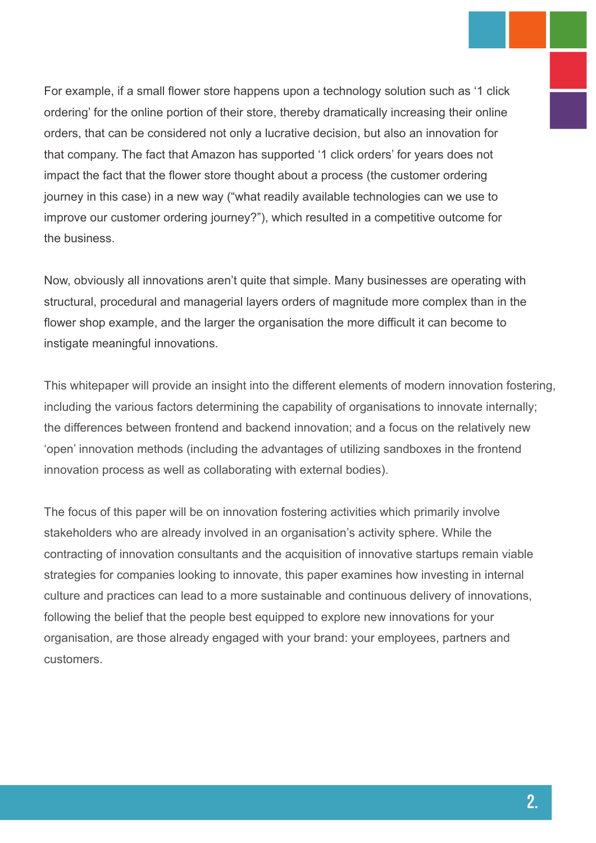For example, if a small flower store happens upon a technology solution such as '1 click ordering' for the online portion of their store, thereby dramatically increasing their online orders, that can be considered not only a lucrative decision, but also an innovation for that company. The fact that Amazon has supported '1 click orders' for years does not impact the fact that the flower store thought about a process (the customer ordering journey in this case) in a new way ("what readily available technologies can we use to improve our customer ordering journey?"), which resulted in a competitive outcome for the business.

Now, obviously all innovations aren't quite that simple. Many businesses are operating with structural, procedural and managerial layers orders of magnitude more complex than in the flower shop example, and the larger the organisation the more difficult it can become to instigate meaningful innovations.

This whitepaper will provide an insight into the different elements of modern innovation fostering, including the various factors determining the capability of organisations to innovate internally; the differences between frontend and backend innovation; and a focus on the relatively new 'open' innovation methods (including the advantages of utilizing sandboxes in the frontend innovation process as well as collaborating with external bodies).

The focus of this paper will be on innovation fostering activities which primarily involve stakeholders who are already involved in an organisation's activity sphere. While the contracting of innovation consultants and the acquisition of innovative startups remain viable strategies for companies looking to innovate, this paper examines how investing in internal culture and practices can lead to a more sustainable and continuous delivery of innovations, following the belief that the people best equipped to explore new innovations for your organisation, are those already engaged with your brand: your employees, partners and customers.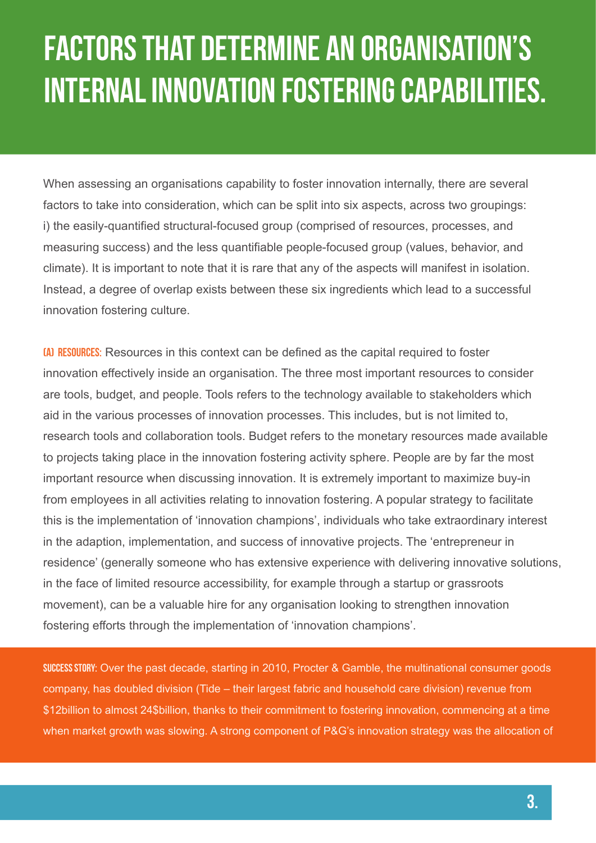# fACTORS THAT DETERMINE AN ORGANISATION'S INTERNAL INNOVATION FOSTERING CAPABILITIES.

When assessing an organisations capability to foster innovation internally, there are several factors to take into consideration, which can be split into six aspects, across two groupings: i) the easily-quantified structural-focused group (comprised of resources, processes, and measuring success) and the less quantifiable people-focused group (values, behavior, and climate). It is important to note that it is rare that any of the aspects will manifest in isolation. Instead, a degree of overlap exists between these six ingredients which lead to a successful innovation fostering culture.

(A) Resources: Resources in this context can be defined as the capital required to foster innovation effectively inside an organisation. The three most important resources to consider are tools, budget, and people. Tools refers to the technology available to stakeholders which aid in the various processes of innovation processes. This includes, but is not limited to, research tools and collaboration tools. Budget refers to the monetary resources made available to projects taking place in the innovation fostering activity sphere. People are by far the most important resource when discussing innovation. It is extremely important to maximize buy-in from employees in all activities relating to innovation fostering. A popular strategy to facilitate this is the implementation of 'innovation champions', individuals who take extraordinary interest in the adaption, implementation, and success of innovative projects. The 'entrepreneur in residence' (generally someone who has extensive experience with delivering innovative solutions, in the face of limited resource accessibility, for example through a startup or grassroots movement), can be a valuable hire for any organisation looking to strengthen innovation fostering efforts through the implementation of 'innovation champions'.

SUCCESS STORY: Over the past decade, starting in 2010, Procter & Gamble, the multinational consumer goods company, has doubled division (Tide – their largest fabric and household care division) revenue from \$12billion to almost 24\$billion, thanks to their commitment to fostering innovation, commencing at a time when market growth was slowing. A strong component of P&G's innovation strategy was the allocation of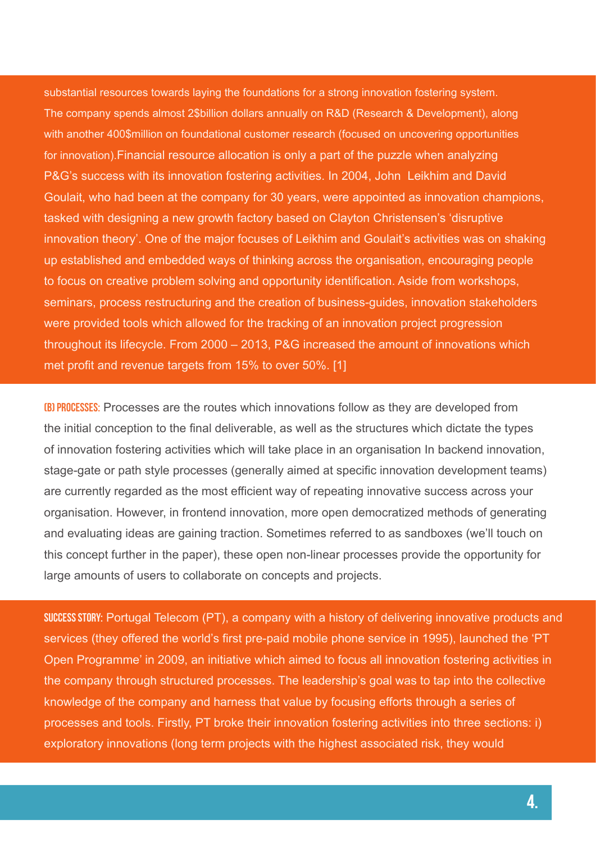substantial resources towards laying the foundations for a strong innovation fostering system. The company spends almost 2\$billion dollars annually on R&D (Research & Development), along with another 400\$million on foundational customer research (focused on uncovering opportunities for innovation).Financial resource allocation is only a part of the puzzle when analyzing P&G's success with its innovation fostering activities. In 2004, John Leikhim and David Goulait, who had been at the company for 30 years, were appointed as innovation champions, tasked with designing a new growth factory based on Clayton Christensen's 'disruptive innovation theory'. One of the major focuses of Leikhim and Goulait's activities was on shaking up established and embedded ways of thinking across the organisation, encouraging people to focus on creative problem solving and opportunity identification. Aside from workshops, seminars, process restructuring and the creation of business-guides, innovation stakeholders were provided tools which allowed for the tracking of an innovation project progression throughout its lifecycle. From 2000 – 2013, P&G increased the amount of innovations which met profit and revenue targets from 15% to over 50%. [1]

**(B) PROCESSES:** Processes are the routes which innovations follow as they are developed from the initial conception to the final deliverable, as well as the structures which dictate the types of innovation fostering activities which will take place in an organisation In backend innovation, stage-gate or path style processes (generally aimed at specific innovation development teams) are currently regarded as the most efficient way of repeating innovative success across your organisation. However, in frontend innovation, more open democratized methods of generating and evaluating ideas are gaining traction. Sometimes referred to as sandboxes (we'll touch on this concept further in the paper), these open non-linear processes provide the opportunity for large amounts of users to collaborate on concepts and projects.

SUCCESS STORY: Portugal Telecom (PT), a company with a history of delivering innovative products and services (they offered the world's first pre-paid mobile phone service in 1995), launched the 'PT Open Programme' in 2009, an initiative which aimed to focus all innovation fostering activities in the company through structured processes. The leadership's goal was to tap into the collective knowledge of the company and harness that value by focusing efforts through a series of processes and tools. Firstly, PT broke their innovation fostering activities into three sections: i) exploratory innovations (long term projects with the highest associated risk, they would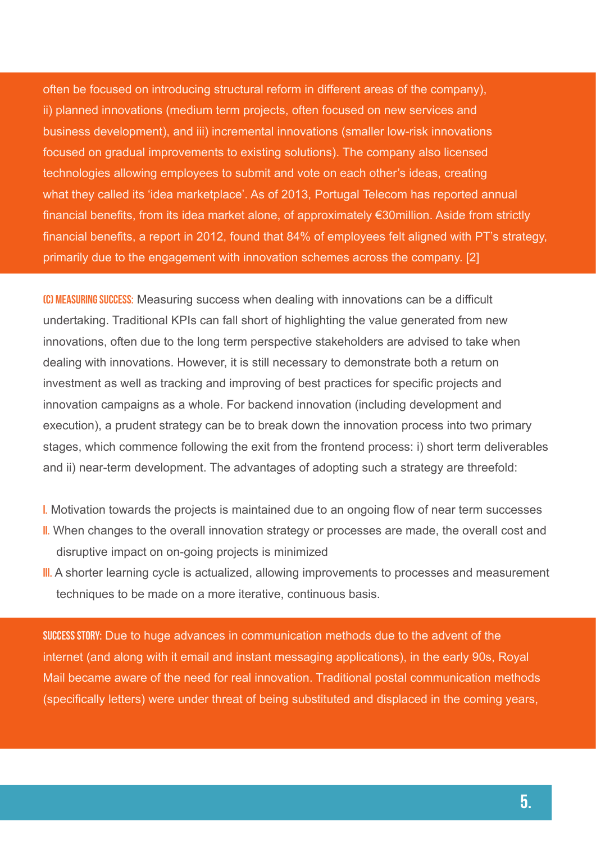often be focused on introducing structural reform in different areas of the company), ii) planned innovations (medium term projects, often focused on new services and business development), and iii) incremental innovations (smaller low-risk innovations focused on gradual improvements to existing solutions). The company also licensed technologies allowing employees to submit and vote on each other's ideas, creating what they called its 'idea marketplace'. As of 2013, Portugal Telecom has reported annual financial benefits, from its idea market alone, of approximately €30million. Aside from strictly financial benefits, a report in 2012, found that 84% of employees felt aligned with PT's strategy, primarily due to the engagement with innovation schemes across the company. [2]

**(C) MEASURING SUCCESS:** Measuring success when dealing with innovations can be a difficult undertaking. Traditional KPIs can fall short of highlighting the value generated from new innovations, often due to the long term perspective stakeholders are advised to take when dealing with innovations. However, it is still necessary to demonstrate both a return on investment as well as tracking and improving of best practices for specific projects and innovation campaigns as a whole. For backend innovation (including development and execution), a prudent strategy can be to break down the innovation process into two primary stages, which commence following the exit from the frontend process: i) short term deliverables and ii) near-term development. The advantages of adopting such a strategy are threefold:

- i. Motivation towards the projects is maintained due to an ongoing flow of near term successes
- II. When changes to the overall innovation strategy or processes are made, the overall cost and disruptive impact on on-going projects is minimized
- III. A shorter learning cycle is actualized, allowing improvements to processes and measurement techniques to be made on a more iterative, continuous basis.

Success Story: Due to huge advances in communication methods due to the advent of the internet (and along with it email and instant messaging applications), in the early 90s, Royal Mail became aware of the need for real innovation. Traditional postal communication methods (specifically letters) were under threat of being substituted and displaced in the coming years,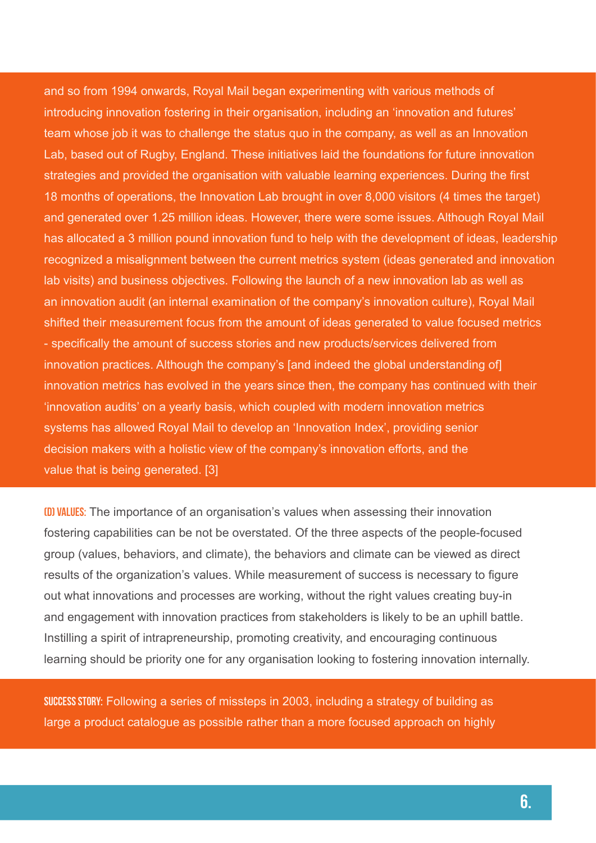and so from 1994 onwards, Royal Mail began experimenting with various methods of introducing innovation fostering in their organisation, including an 'innovation and futures' team whose job it was to challenge the status quo in the company, as well as an Innovation Lab, based out of Rugby, England. These initiatives laid the foundations for future innovation strategies and provided the organisation with valuable learning experiences. During the first 18 months of operations, the Innovation Lab brought in over 8,000 visitors (4 times the target) and generated over 1.25 million ideas. However, there were some issues. Although Royal Mail has allocated a 3 million pound innovation fund to help with the development of ideas, leadership recognized a misalignment between the current metrics system (ideas generated and innovation lab visits) and business objectives. Following the launch of a new innovation lab as well as an innovation audit (an internal examination of the company's innovation culture), Royal Mail shifted their measurement focus from the amount of ideas generated to value focused metrics - specifically the amount of success stories and new products/services delivered from innovation practices. Although the company's [and indeed the global understanding of] innovation metrics has evolved in the years since then, the company has continued with their 'innovation audits' on a yearly basis, which coupled with modern innovation metrics systems has allowed Royal Mail to develop an 'Innovation Index', providing senior decision makers with a holistic view of the company's innovation efforts, and the value that is being generated. [3]

(D) Values: The importance of an organisation's values when assessing their innovation fostering capabilities can be not be overstated. Of the three aspects of the people-focused group (values, behaviors, and climate), the behaviors and climate can be viewed as direct results of the organization's values. While measurement of success is necessary to figure out what innovations and processes are working, without the right values creating buy-in and engagement with innovation practices from stakeholders is likely to be an uphill battle. Instilling a spirit of intrapreneurship, promoting creativity, and encouraging continuous learning should be priority one for any organisation looking to fostering innovation internally.

SUCCESS STORY: Following a series of missteps in 2003, including a strategy of building as large a product catalogue as possible rather than a more focused approach on highly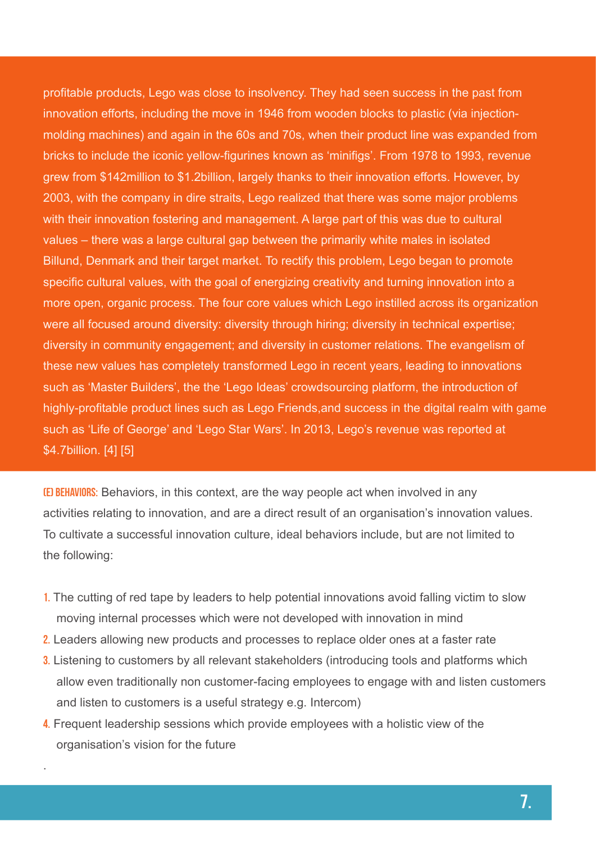profitable products, Lego was close to insolvency. They had seen success in the past from innovation efforts, including the move in 1946 from wooden blocks to plastic (via injectionmolding machines) and again in the 60s and 70s, when their product line was expanded from bricks to include the iconic yellow-figurines known as 'minifigs'. From 1978 to 1993, revenue grew from \$142million to \$1.2billion, largely thanks to their innovation efforts. However, by 2003, with the company in dire straits, Lego realized that there was some major problems with their innovation fostering and management. A large part of this was due to cultural values – there was a large cultural gap between the primarily white males in isolated Billund, Denmark and their target market. To rectify this problem, Lego began to promote specific cultural values, with the goal of energizing creativity and turning innovation into a more open, organic process. The four core values which Lego instilled across its organization were all focused around diversity: diversity through hiring; diversity in technical expertise; diversity in community engagement; and diversity in customer relations. The evangelism of these new values has completely transformed Lego in recent years, leading to innovations such as 'Master Builders', the the 'Lego Ideas' crowdsourcing platform, the introduction of highly-profitable product lines such as Lego Friends,and success in the digital realm with game such as 'Life of George' and 'Lego Star Wars'. In 2013, Lego's revenue was reported at \$4.7billion. [4] [5]

(E) Behaviors: Behaviors, in this context, are the way people act when involved in any activities relating to innovation, and are a direct result of an organisation's innovation values. To cultivate a successful innovation culture, ideal behaviors include, but are not limited to the following:

- 1. The cutting of red tape by leaders to help potential innovations avoid falling victim to slow moving internal processes which were not developed with innovation in mind
- 2. Leaders allowing new products and processes to replace older ones at a faster rate
- 3. Listening to customers by all relevant stakeholders (introducing tools and platforms which allow even traditionally non customer-facing employees to engage with and listen customers and listen to customers is a useful strategy e.g. Intercom)
- 4. Frequent leadership sessions which provide employees with a holistic view of the organisation's vision for the future

.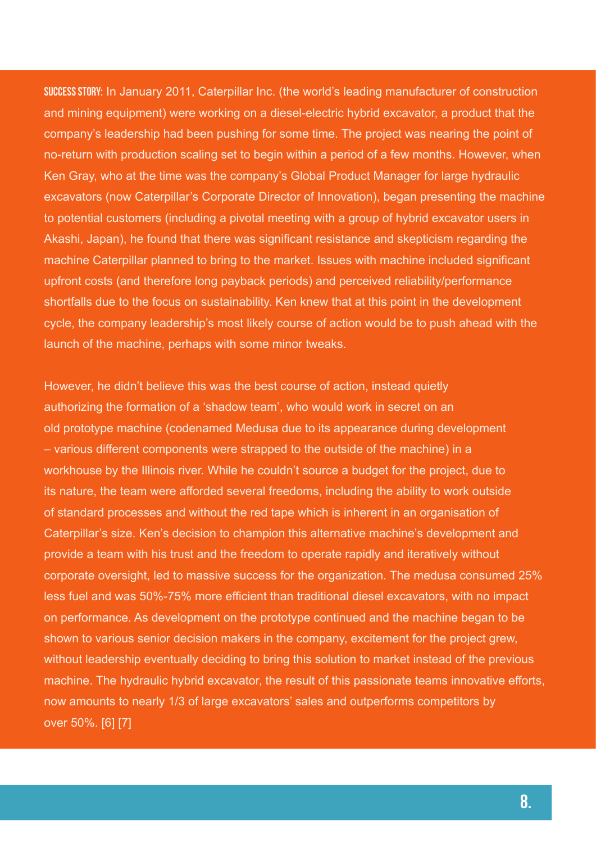Success Story: In January 2011, Caterpillar Inc. (the world's leading manufacturer of construction and mining equipment) were working on a diesel-electric hybrid excavator, a product that the company's leadership had been pushing for some time. The project was nearing the point of no-return with production scaling set to begin within a period of a few months. However, when Ken Gray, who at the time was the company's Global Product Manager for large hydraulic excavators (now Caterpillar's Corporate Director of Innovation), began presenting the machine to potential customers (including a pivotal meeting with a group of hybrid excavator users in Akashi, Japan), he found that there was significant resistance and skepticism regarding the machine Caterpillar planned to bring to the market. Issues with machine included significant upfront costs (and therefore long payback periods) and perceived reliability/performance shortfalls due to the focus on sustainability. Ken knew that at this point in the development cycle, the company leadership's most likely course of action would be to push ahead with the launch of the machine, perhaps with some minor tweaks.

However, he didn't believe this was the best course of action, instead quietly authorizing the formation of a 'shadow team', who would work in secret on an old prototype machine (codenamed Medusa due to its appearance during development – various different components were strapped to the outside of the machine) in a workhouse by the Illinois river. While he couldn't source a budget for the project, due to its nature, the team were afforded several freedoms, including the ability to work outside of standard processes and without the red tape which is inherent in an organisation of Caterpillar's size. Ken's decision to champion this alternative machine's development and provide a team with his trust and the freedom to operate rapidly and iteratively without corporate oversight, led to massive success for the organization. The medusa consumed 25% less fuel and was 50%-75% more efficient than traditional diesel excavators, with no impact on performance. As development on the prototype continued and the machine began to be shown to various senior decision makers in the company, excitement for the project grew, without leadership eventually deciding to bring this solution to market instead of the previous machine. The hydraulic hybrid excavator, the result of this passionate teams innovative efforts, now amounts to nearly 1/3 of large excavators' sales and outperforms competitors by over 50%. [6] [7]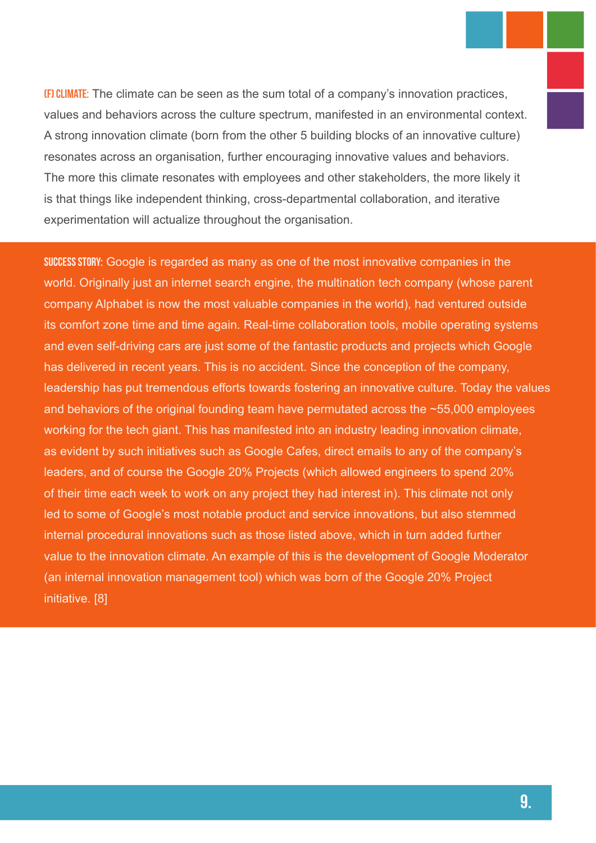(F) Climate: The climate can be seen as the sum total of a company's innovation practices, values and behaviors across the culture spectrum, manifested in an environmental context. A strong innovation climate (born from the other 5 building blocks of an innovative culture) resonates across an organisation, further encouraging innovative values and behaviors. The more this climate resonates with employees and other stakeholders, the more likely it is that things like independent thinking, cross-departmental collaboration, and iterative experimentation will actualize throughout the organisation.

Success Story: Google is regarded as many as one of the most innovative companies in the world. Originally just an internet search engine, the multination tech company (whose parent company Alphabet is now the most valuable companies in the world), had ventured outside its comfort zone time and time again. Real-time collaboration tools, mobile operating systems and even self-driving cars are just some of the fantastic products and projects which Google has delivered in recent years. This is no accident. Since the conception of the company, leadership has put tremendous efforts towards fostering an innovative culture. Today the values and behaviors of the original founding team have permutated across the ~55,000 employees working for the tech giant. This has manifested into an industry leading innovation climate, as evident by such initiatives such as Google Cafes, direct emails to any of the company's leaders, and of course the Google 20% Projects (which allowed engineers to spend 20% of their time each week to work on any project they had interest in). This climate not only led to some of Google's most notable product and service innovations, but also stemmed internal procedural innovations such as those listed above, which in turn added further value to the innovation climate. An example of this is the development of Google Moderator (an internal innovation management tool) which was born of the Google 20% Project initiative. [8]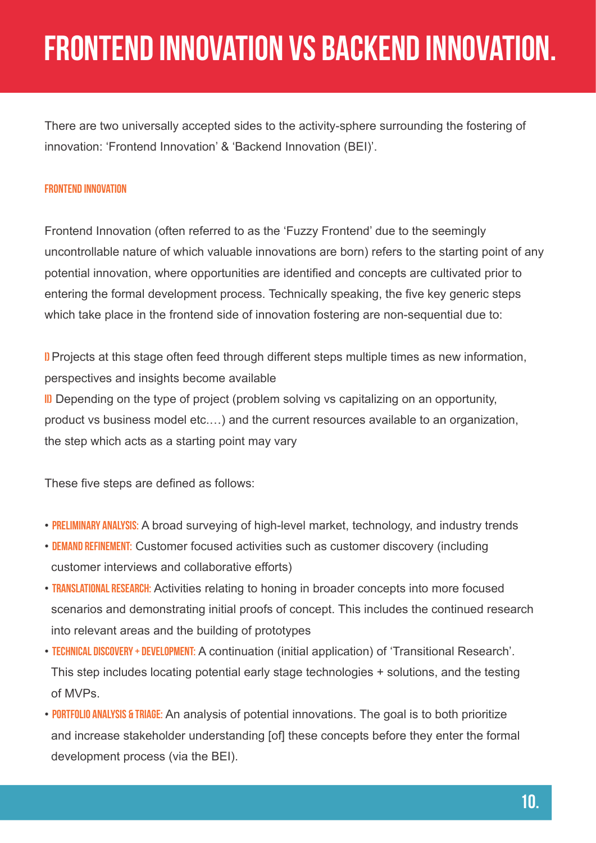## frontend innovation vs backend innovation.

There are two universally accepted sides to the activity-sphere surrounding the fostering of innovation: 'Frontend Innovation' & 'Backend Innovation (BEI)'.

#### Frontend Innovation

Frontend Innovation (often referred to as the 'Fuzzy Frontend' due to the seemingly uncontrollable nature of which valuable innovations are born) refers to the starting point of any potential innovation, where opportunities are identified and concepts are cultivated prior to entering the formal development process. Technically speaking, the five key generic steps which take place in the frontend side of innovation fostering are non-sequential due to:

i) Projects at this stage often feed through different steps multiple times as new information, perspectives and insights become available

III Depending on the type of project (problem solving vs capitalizing on an opportunity, product vs business model etc.…) and the current resources available to an organization, the step which acts as a starting point may vary

These five steps are defined as follows:

- PRELIMINARY ANALYSIS: A broad surveying of high-level market, technology, and industry trends
- DEMAND REFINEMENT: Customer focused activities such as customer discovery (including customer interviews and collaborative efforts)
- **TRANSLATIONAL RESEARCH:** Activities relating to honing in broader concepts into more focused scenarios and demonstrating initial proofs of concept. This includes the continued research into relevant areas and the building of prototypes
- TECHNICAL DISCOVERY + DEVELOPMENT: A continuation (initial application) of 'Transitional Research'. This step includes locating potential early stage technologies + solutions, and the testing of MVPs.
- PORTFOLIO ANALYSIS & TRIAGE: An analysis of potential innovations. The goal is to both prioritize and increase stakeholder understanding [of] these concepts before they enter the formal development process (via the BEI).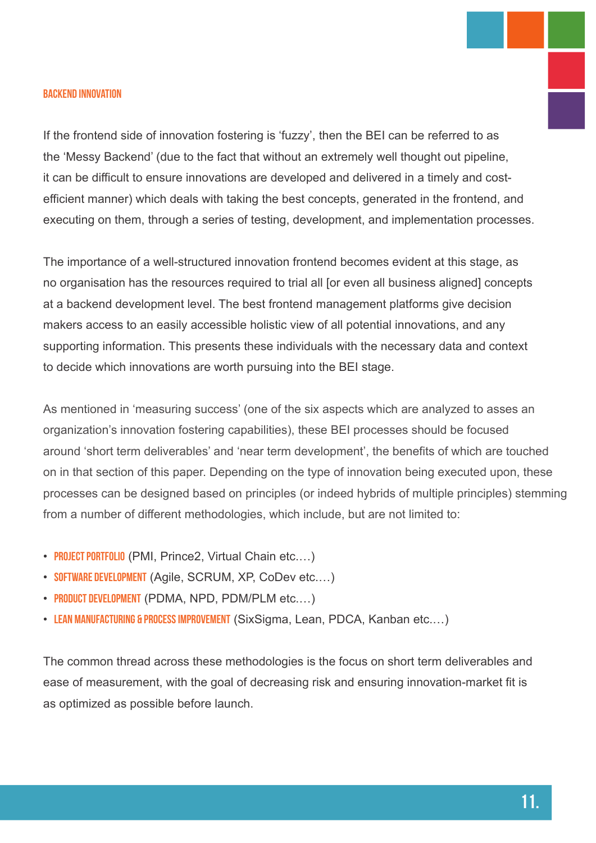#### Backend Innovation

If the frontend side of innovation fostering is 'fuzzy', then the BEI can be referred to as the 'Messy Backend' (due to the fact that without an extremely well thought out pipeline, it can be difficult to ensure innovations are developed and delivered in a timely and costefficient manner) which deals with taking the best concepts, generated in the frontend, and executing on them, through a series of testing, development, and implementation processes.

The importance of a well-structured innovation frontend becomes evident at this stage, as no organisation has the resources required to trial all [or even all business aligned] concepts at a backend development level. The best frontend management platforms give decision makers access to an easily accessible holistic view of all potential innovations, and any supporting information. This presents these individuals with the necessary data and context to decide which innovations are worth pursuing into the BEI stage.

As mentioned in 'measuring success' (one of the six aspects which are analyzed to asses an organization's innovation fostering capabilities), these BEI processes should be focused around 'short term deliverables' and 'near term development', the benefits of which are touched on in that section of this paper. Depending on the type of innovation being executed upon, these processes can be designed based on principles (or indeed hybrids of multiple principles) stemming from a number of different methodologies, which include, but are not limited to:

- PROJECT PORTFOLIO (PMI, Prince2, Virtual Chain etc...)
- SOFTWARE DEVELOPMENT (Agile, SCRUM, XP, CoDev etc...)
- PRODUCT DEVELOPMENT (PDMA, NPD, PDM/PLM etc...)
- LEAN MANUFACTURING & PROCESS IMPROVEMENT (SixSigma, Lean, PDCA, Kanban etc...)

The common thread across these methodologies is the focus on short term deliverables and ease of measurement, with the goal of decreasing risk and ensuring innovation-market fit is as optimized as possible before launch.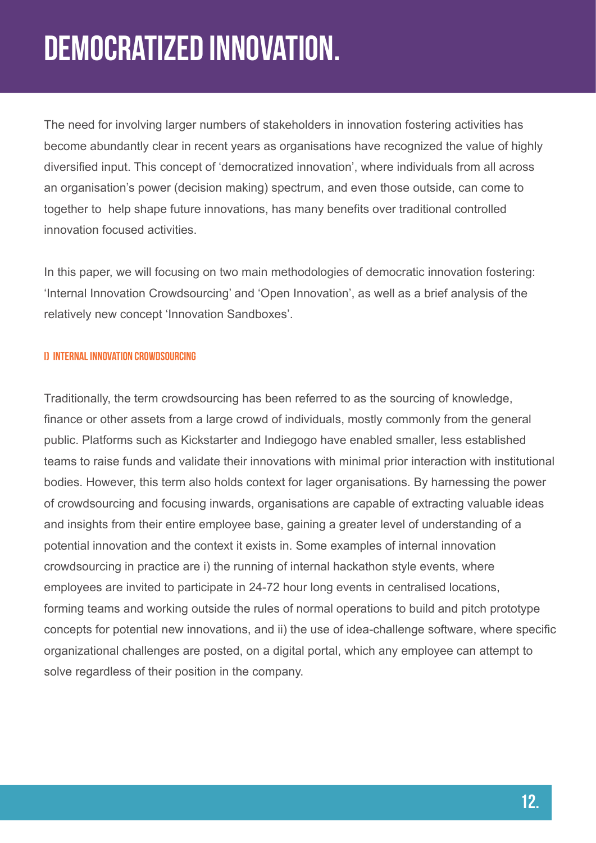# Democratized innovation.

The need for involving larger numbers of stakeholders in innovation fostering activities has become abundantly clear in recent years as organisations have recognized the value of highly diversified input. This concept of 'democratized innovation', where individuals from all across an organisation's power (decision making) spectrum, and even those outside, can come to together to help shape future innovations, has many benefits over traditional controlled innovation focused activities.

In this paper, we will focusing on two main methodologies of democratic innovation fostering: 'Internal Innovation Crowdsourcing' and 'Open Innovation', as well as a brief analysis of the relatively new concept 'Innovation Sandboxes'.

### i) Internal Innovation Crowdsourcing

Traditionally, the term crowdsourcing has been referred to as the sourcing of knowledge, finance or other assets from a large crowd of individuals, mostly commonly from the general public. Platforms such as Kickstarter and Indiegogo have enabled smaller, less established teams to raise funds and validate their innovations with minimal prior interaction with institutional bodies. However, this term also holds context for lager organisations. By harnessing the power of crowdsourcing and focusing inwards, organisations are capable of extracting valuable ideas and insights from their entire employee base, gaining a greater level of understanding of a potential innovation and the context it exists in. Some examples of internal innovation crowdsourcing in practice are i) the running of internal hackathon style events, where employees are invited to participate in 24-72 hour long events in centralised locations, forming teams and working outside the rules of normal operations to build and pitch prototype concepts for potential new innovations, and ii) the use of idea-challenge software, where specific organizational challenges are posted, on a digital portal, which any employee can attempt to solve regardless of their position in the company.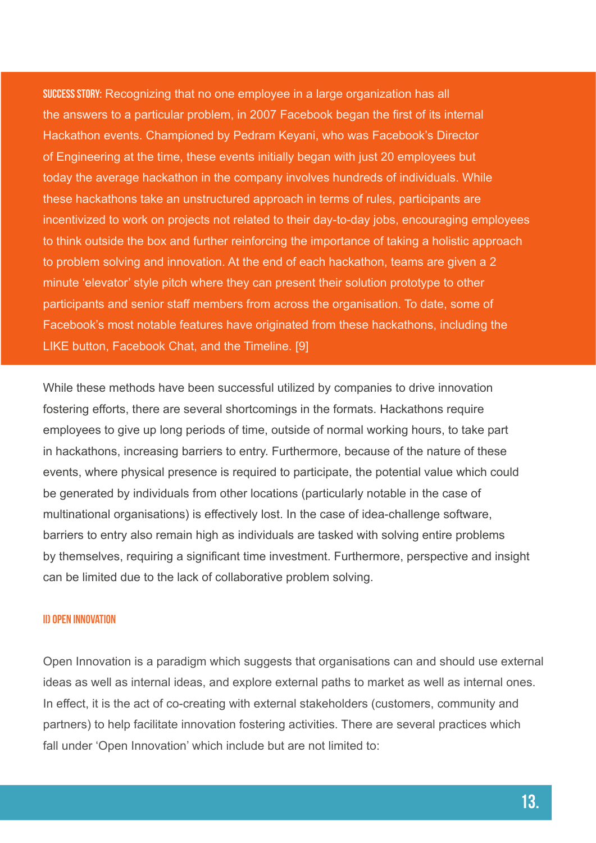SUCCESS STORY: Recognizing that no one employee in a large organization has all the answers to a particular problem, in 2007 Facebook began the first of its internal Hackathon events. Championed by Pedram Keyani, who was Facebook's Director of Engineering at the time, these events initially began with just 20 employees but today the average hackathon in the company involves hundreds of individuals. While these hackathons take an unstructured approach in terms of rules, participants are incentivized to work on projects not related to their day-to-day jobs, encouraging employees to think outside the box and further reinforcing the importance of taking a holistic approach to problem solving and innovation. At the end of each hackathon, teams are given a 2 minute 'elevator' style pitch where they can present their solution prototype to other participants and senior staff members from across the organisation. To date, some of Facebook's most notable features have originated from these hackathons, including the LIKE button, Facebook Chat, and the Timeline. [9]

While these methods have been successful utilized by companies to drive innovation fostering efforts, there are several shortcomings in the formats. Hackathons require employees to give up long periods of time, outside of normal working hours, to take part in hackathons, increasing barriers to entry. Furthermore, because of the nature of these events, where physical presence is required to participate, the potential value which could be generated by individuals from other locations (particularly notable in the case of multinational organisations) is effectively lost. In the case of idea-challenge software, barriers to entry also remain high as individuals are tasked with solving entire problems by themselves, requiring a significant time investment. Furthermore, perspective and insight can be limited due to the lack of collaborative problem solving.

#### ii) Open Innovation

Open Innovation is a paradigm which suggests that organisations can and should use external ideas as well as internal ideas, and explore external paths to market as well as internal ones. In effect, it is the act of co-creating with external stakeholders (customers, community and partners) to help facilitate innovation fostering activities. There are several practices which fall under 'Open Innovation' which include but are not limited to: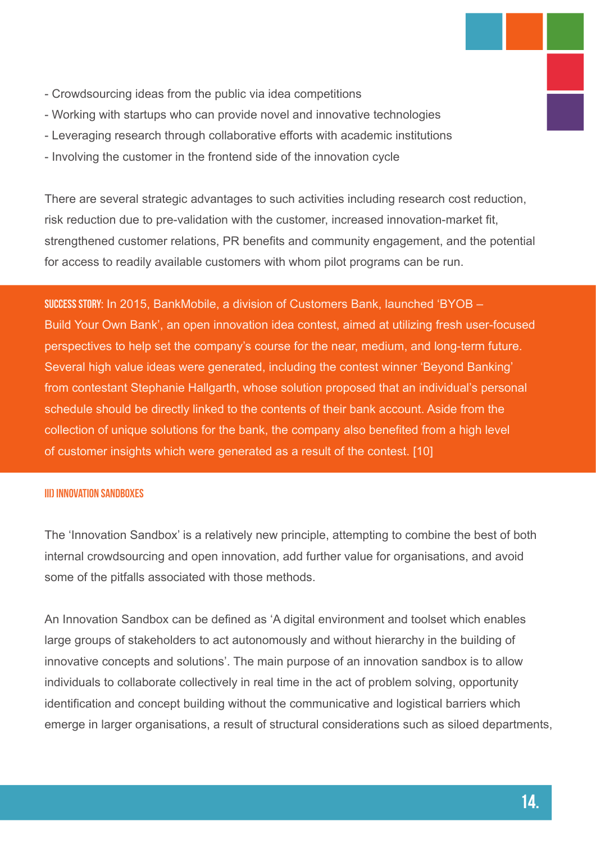- Crowdsourcing ideas from the public via idea competitions
- Working with startups who can provide novel and innovative technologies
- Leveraging research through collaborative efforts with academic institutions
- Involving the customer in the frontend side of the innovation cycle

There are several strategic advantages to such activities including research cost reduction, risk reduction due to pre-validation with the customer, increased innovation-market fit, strengthened customer relations, PR benefits and community engagement, and the potential for access to readily available customers with whom pilot programs can be run.

Success Story: In 2015, BankMobile, a division of Customers Bank, launched 'BYOB – Build Your Own Bank', an open innovation idea contest, aimed at utilizing fresh user-focused perspectives to help set the company's course for the near, medium, and long-term future. Several high value ideas were generated, including the contest winner 'Beyond Banking' from contestant Stephanie Hallgarth, whose solution proposed that an individual's personal schedule should be directly linked to the contents of their bank account. Aside from the collection of unique solutions for the bank, the company also benefited from a high level of customer insights which were generated as a result of the contest. [10]

#### iii) Innovation Sandboxes

The 'Innovation Sandbox' is a relatively new principle, attempting to combine the best of both internal crowdsourcing and open innovation, add further value for organisations, and avoid some of the pitfalls associated with those methods.

An Innovation Sandbox can be defined as 'A digital environment and toolset which enables large groups of stakeholders to act autonomously and without hierarchy in the building of innovative concepts and solutions'. The main purpose of an innovation sandbox is to allow individuals to collaborate collectively in real time in the act of problem solving, opportunity identification and concept building without the communicative and logistical barriers which emerge in larger organisations, a result of structural considerations such as siloed departments,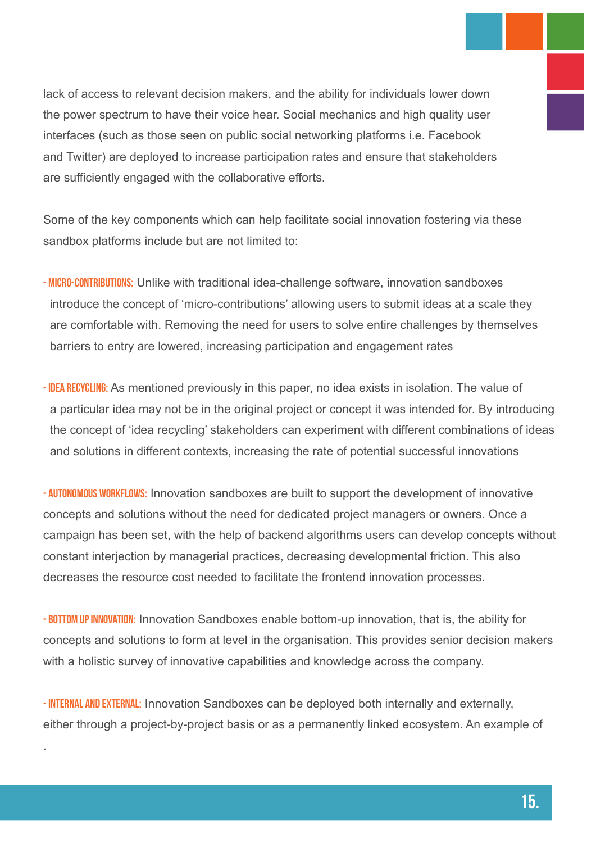lack of access to relevant decision makers, and the ability for individuals lower down the power spectrum to have their voice hear. Social mechanics and high quality user interfaces (such as those seen on public social networking platforms i.e. Facebook and Twitter) are deployed to increase participation rates and ensure that stakeholders are sufficiently engaged with the collaborative efforts.

Some of the key components which can help facilitate social innovation fostering via these sandbox platforms include but are not limited to:

- MICRO-CONTRIBUTIONS: Unlike with traditional idea-challenge software, innovation sandboxes introduce the concept of 'micro-contributions' allowing users to submit ideas at a scale they are comfortable with. Removing the need for users to solve entire challenges by themselves barriers to entry are lowered, increasing participation and engagement rates
- IDEA RECYCLING: As mentioned previously in this paper, no idea exists in isolation. The value of a particular idea may not be in the original project or concept it was intended for. By introducing the concept of 'idea recycling' stakeholders can experiment with different combinations of ideas and solutions in different contexts, increasing the rate of potential successful innovations

- AUTONOMOUS WORKFLOWS: Innovation sandboxes are built to support the development of innovative concepts and solutions without the need for dedicated project managers or owners. Once a campaign has been set, with the help of backend algorithms users can develop concepts without constant interjection by managerial practices, decreasing developmental friction. This also decreases the resource cost needed to facilitate the frontend innovation processes.

- BOTTOM UP INNOVATION: Innovation Sandboxes enable bottom-up innovation, that is, the ability for concepts and solutions to form at level in the organisation. This provides senior decision makers with a holistic survey of innovative capabilities and knowledge across the company.

-**INTERNAL AND EXTERNAL:** Innovation Sandboxes can be deployed both internally and externally, either through a project-by-project basis or as a permanently linked ecosystem. An example of

.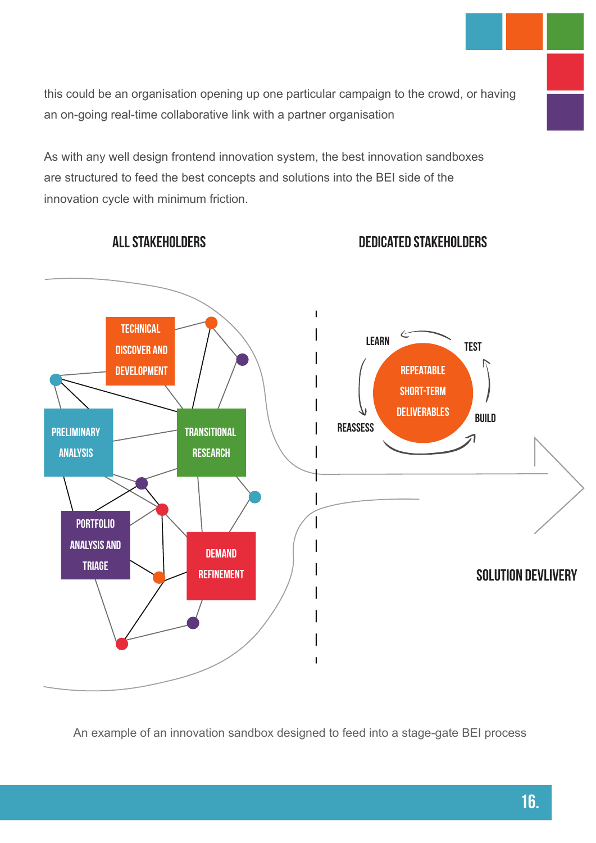this could be an organisation opening up one particular campaign to the crowd, or having an on-going real-time collaborative link with a partner organisation

As with any well design frontend innovation system, the best innovation sandboxes are structured to feed the best concepts and solutions into the BEI side of the innovation cycle with minimum friction.



All Stakeholders

dedicated stakeholders

An example of an innovation sandbox designed to feed into a stage-gate BEI process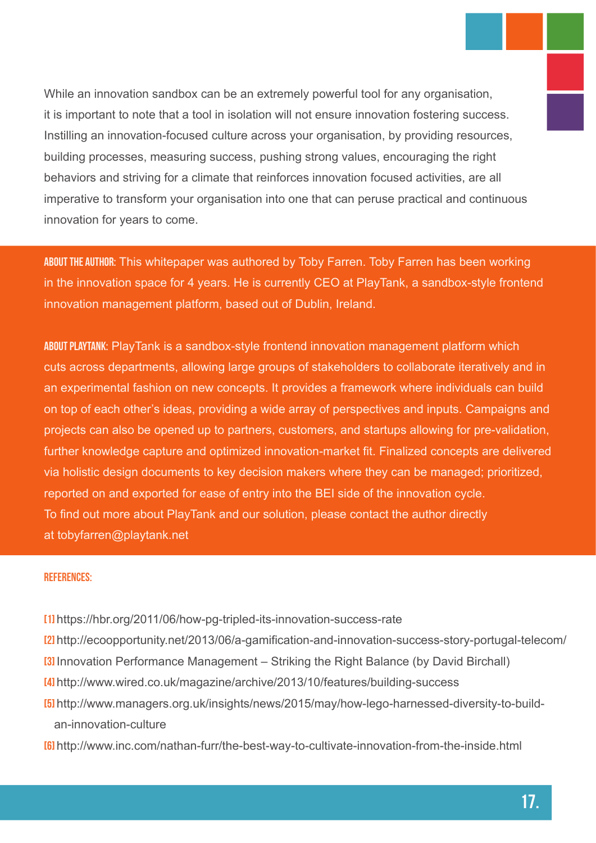While an innovation sandbox can be an extremely powerful tool for any organisation, it is important to note that a tool in isolation will not ensure innovation fostering success. Instilling an innovation-focused culture across your organisation, by providing resources, building processes, measuring success, pushing strong values, encouraging the right behaviors and striving for a climate that reinforces innovation focused activities, are all imperative to transform your organisation into one that can peruse practical and continuous innovation for years to come.

ABOUT THE AUTHOR: This whitepaper was authored by Toby Farren. Toby Farren has been working in the innovation space for 4 years. He is currently CEO at PlayTank, a sandbox-style frontend innovation management platform, based out of Dublin, Ireland.

About PlayTank: PlayTank is a sandbox-style frontend innovation management platform which cuts across departments, allowing large groups of stakeholders to collaborate iteratively and in an experimental fashion on new concepts. It provides a framework where individuals can build on top of each other's ideas, providing a wide array of perspectives and inputs. Campaigns and projects can also be opened up to partners, customers, and startups allowing for pre-validation, further knowledge capture and optimized innovation-market fit. Finalized concepts are delivered via holistic design documents to key decision makers where they can be managed; prioritized, reported on and exported for ease of entry into the BEI side of the innovation cycle. To find out more about PlayTank and our solution, please contact the author directly at tobyfarren@playtank.net

#### References:

- [1] https://hbr.org/2011/06/how-pg-tripled-its-innovation-success-rate
- [2] http://ecoopportunity.net/2013/06/a-gamification-and-innovation-success-story-portugal-telecom/
- **[3]** Innovation Performance Management Striking the Right Balance (by David Birchall)
- [4] http://www.wired.co.uk/magazine/archive/2013/10/features/building-success
- [5] http://www.managers.org.uk/insights/news/2015/may/how-lego-harnessed-diversity-to-build an-innovation-culture
- [6] http://www.inc.com/nathan-furr/the-best-way-to-cultivate-innovation-from-the-inside.html